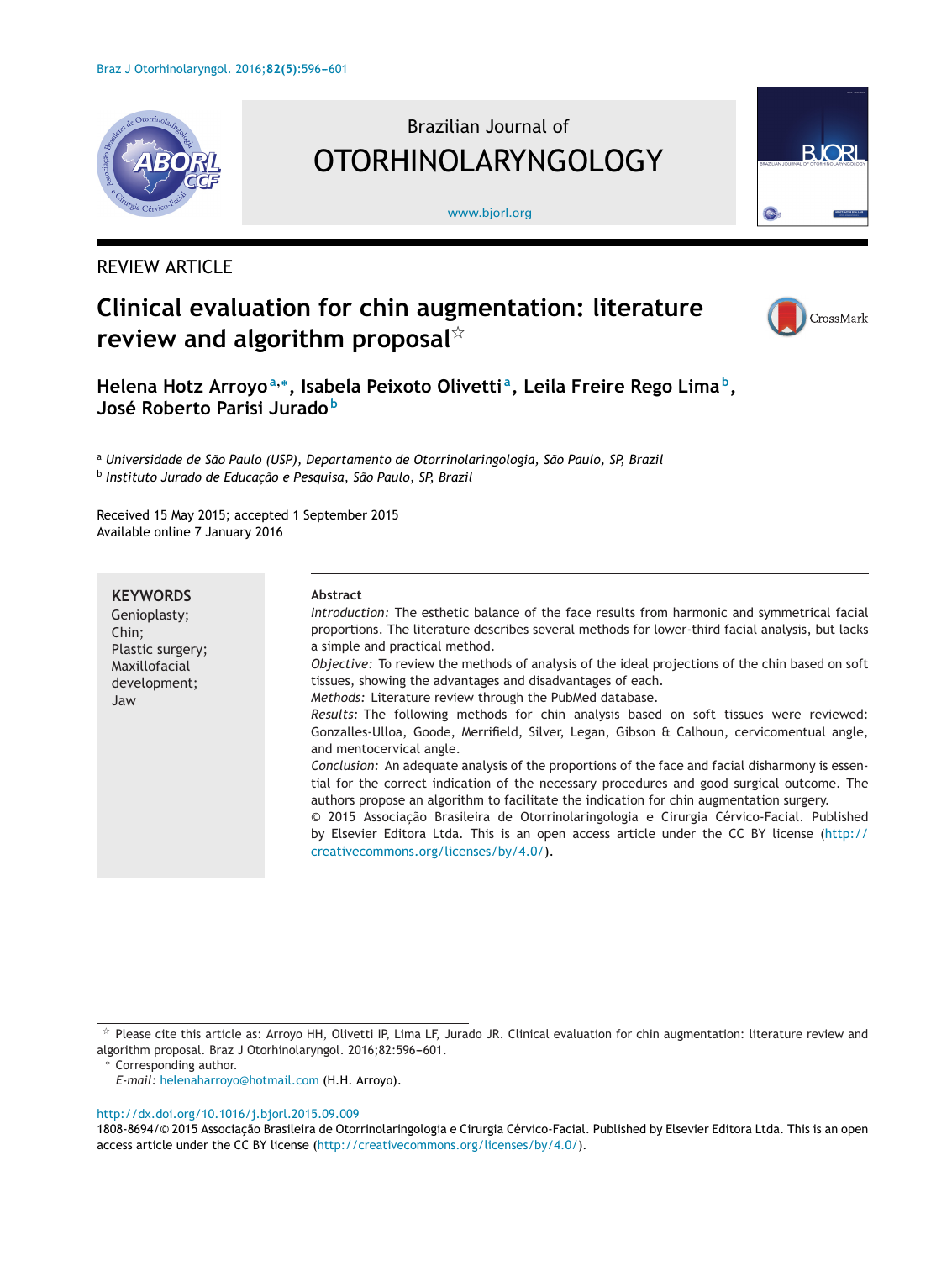

# Brazilian Journal of OTORHINOLARYNGOLOGY

[www.bjorl.org](http://www.bjorl.org)



## REVIEW ARTICLE

# **Clinical evaluation for chin augmentation: literature review and algorithm proposal**-



**Helena Hotz Arroyo<sup>a</sup>,∗, Isabela Peixoto Olivetti a, Leila Freire Rego Lima b, José Roberto Parisi Jurado <sup>b</sup>**

<sup>a</sup> *Universidade de São Paulo (USP), Departamento de Otorrinolaringologia, São Paulo, SP, Brazil* <sup>b</sup> *Instituto Jurado de Educac¸ão e Pesquisa, São Paulo, SP, Brazil*

Received 15 May 2015; accepted 1 September 2015 Available online 7 January 2016

#### **KEYWORDS**

#### Genioplasty; Chin; Plastic surgery; Maxillofacial development; Jaw **Abstract** *Introduction:* The esthetic balance of the face results from harmonic and symmetrical facial proportions. The literature describes several methods for lower-third facial analysis, but lacks a simple and practical method. *Objective:* To review the methods of analysis of the ideal projections of the chin based on soft tissues, showing the advantages and disadvantages of each. *Methods:* Literature review through the PubMed database. *Results:* The following methods for chin analysis based on soft tissues were reviewed: Gonzalles-Ulloa, Goode, Merrifield, Silver, Legan, Gibson & Calhoun, cervicomentual angle, and mentocervical angle. *Conclusion:* An adequate analysis of the proportions of the face and facial disharmony is essential for the correct indication of the necessary procedures and good surgical outcome. The authors propose an algorithm to facilitate the indication for chin augmentation surgery.  $© 2015 Associação Brasileira de Otorrinolaringologia e Cirurgia Cérvico-Facial. Published$ by Elsevier Editora Ltda. This is an open access article under the CC BY license [\(http://](http://creativecommons.org/licenses/by/4.0/) [creativecommons.org/licenses/by/4.0/\)](http://creativecommons.org/licenses/by/4.0/).

#### [http://dx.doi.org/10.1016/j.bjorl.2015.09.009](dx.doi.org/10.1016/j.bjorl.2015.09.009)

1808-8694/© 2015 Associacão Brasileira de Otorrinolaringologia e Cirurgia Cérvico-Facial. Published by Elsevier Editora Ltda. This is an open access article under the CC BY license (<http://creativecommons.org/licenses/by/4.0/>).

 $*$  Please cite this article as: Arroyo HH, Olivetti IP, Lima LF, Jurado JR. Clinical evaluation for chin augmentation: literature review and algorithm proposal. Braz J Otorhinolaryngol. 2016;82:596-601.

Corresponding author.

*E-mail:* [helenaharroyo@hotmail.com](mailto:helenaharroyo@hotmail.com) (H.H. Arroyo).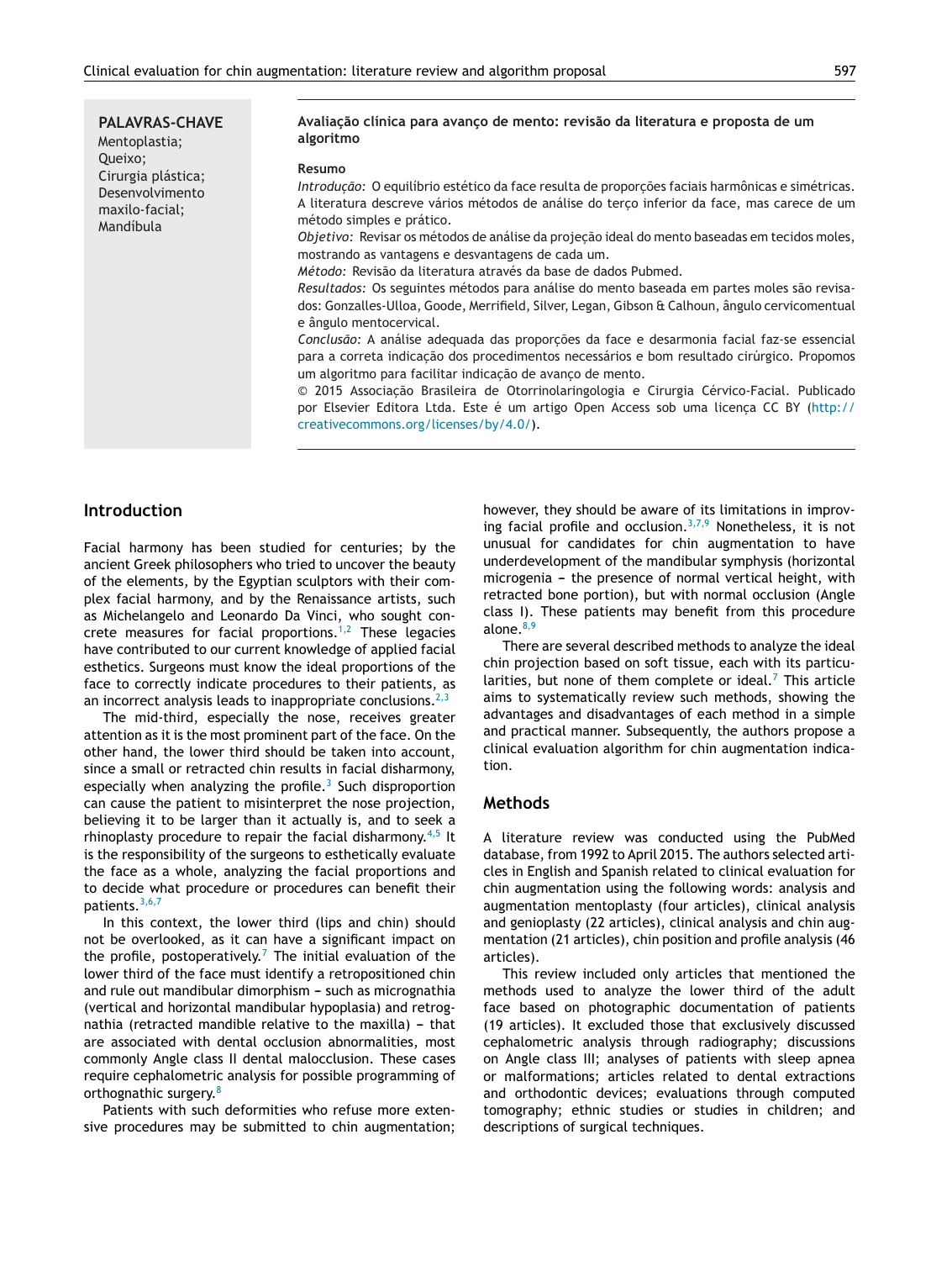**PALAVRAS-CHAVE** Mentoplastia; Queixo; Cirurgia plástica; Desenvolvimento maxilo-facial; Mandíbula

#### **Avaliac¸ão clínica para avanc¸o de mento: revisão da literatura e proposta de um algoritmo**

#### **Resumo**

*Introducão:* O equilíbrio estético da face resulta de proporcões faciais harmônicas e simétricas. A literatura descreve vários métodos de análise do terco inferior da face, mas carece de um método simples e prático.

*Objetivo:* Revisar os métodos de análise da projeção ideal do mento baseadas em tecidos moles, mostrando as vantagens e desvantagens de cada um.

*Método:* Revisão da literatura através da base de dados Pubmed.

*Resultados:* Os seguintes métodos para análise do mento baseada em partes moles são revisados: Gonzalles-Ulloa, Goode, Merrifield, Silver, Legan, Gibson & Calhoun, ângulo cervicomentual e ângulo mentocervical.

*Conclusão:* A análise adequada das proporções da face e desarmonia facial faz-se essencial para a correta indicação dos procedimentos necessários e bom resultado cirúrgico. Propomos um algoritmo para facilitar indicação de avanço de mento.

 $© 2015 Associação Brasileira de Otorrinolaringologia e Cirurgia Cérvico-Facial. Publicado$ por Elsevier Editora Ltda. Este é um artigo Open Access sob uma licença CC BY ([http://](http://creativecommons.org/licenses/by/4.0/) [creativecommons.org/licenses/by/4.0/](http://creativecommons.org/licenses/by/4.0/)).

#### **Introduction**

Facial harmony has been studied for centuries; by the ancient Greek philosophers who tried to uncover the beauty of the elements, by the Egyptian sculptors with their complex facial harmony, and by the Renaissance artists, such as Michelangelo and Leonardo Da Vinci, who sought concrete measures for facial proportions. $1,2$  These legacies have contributed to our current knowledge of applied facial esthetics. Surgeons must know the ideal proportions of the face to correctly indicate procedures to their patients, as an incorrect analysis leads to inappropriate conclusions.  $2,3$ 

The mid-third, especially the nose, receives greater attention as it is the most prominent part of the face. On the other hand, the lower third should be taken into account, since a small or retracted chin results in facial disharmony, especially when analyzing the profile.<sup>[3](#page-5-0)</sup> Such disproportion can cause the patient to misinterpret the nose projection, believing it to be larger than it actually is, and to seek a rhinoplasty procedure to repair the facial disharmony.<sup>[4,5](#page-5-0)</sup> It is the responsibility of the surgeons to esthetically evaluate the face as a whole, analyzing the facial proportions and to decide what procedure or procedures can benefit their patients.[3,6,7](#page-5-0)

In this context, the lower third (lips and chin) should not be overlooked, as it can have a significant impact on the profile, postoperatively.<sup>[7](#page-5-0)</sup> The initial evaluation of the lower third of the face must identify a retropositioned chin and rule out mandibular dimorphism  $-$  such as micrognathia (vertical and horizontal mandibular hypoplasia) and retrognathia (retracted mandible relative to the maxilla)  $-$  that are associated with dental occlusion abnormalities, most commonly Angle class II dental malocclusion. These cases require cephalometric analysis for possible programming of orthognathic surgery.<sup>[8](#page-5-0)</sup>

Patients with such deformities who refuse more extensive procedures may be submitted to chin augmentation; however, they should be aware of its limitations in improv-ing facial profile and occlusion.<sup>[3,7,9](#page-5-0)</sup> Nonetheless, it is not unusual for candidates for chin augmentation to have underdevelopment of the mandibular symphysis (horizontal microgenia - the presence of normal vertical height, with retracted bone portion), but with normal occlusion (Angle class I). These patients may benefit from this procedure alone.<sup>[8,9](#page-5-0)</sup>

There are several described methods to analyze the ideal chin projection based on soft tissue, each with its particularities, but none of them complete or ideal. $<sup>7</sup>$  $<sup>7</sup>$  $<sup>7</sup>$  This article</sup> aims to systematically review such methods, showing the advantages and disadvantages of each method in a simple and practical manner. Subsequently, the authors propose a clinical evaluation algorithm for chin augmentation indication.

#### **Methods**

A literature review was conducted using the PubMed database, from 1992 to April 2015. The authors selected articles in English and Spanish related to clinical evaluation for chin augmentation using the following words: analysis and augmentation mentoplasty (four articles), clinical analysis and genioplasty (22 articles), clinical analysis and chin augmentation (21 articles), chin position and profile analysis (46 articles).

This review included only articles that mentioned the methods used to analyze the lower third of the adult face based on photographic documentation of patients (19 articles). It excluded those that exclusively discussed cephalometric analysis through radiography; discussions on Angle class III; analyses of patients with sleep apnea or malformations; articles related to dental extractions and orthodontic devices; evaluations through computed tomography; ethnic studies or studies in children; and descriptions of surgical techniques.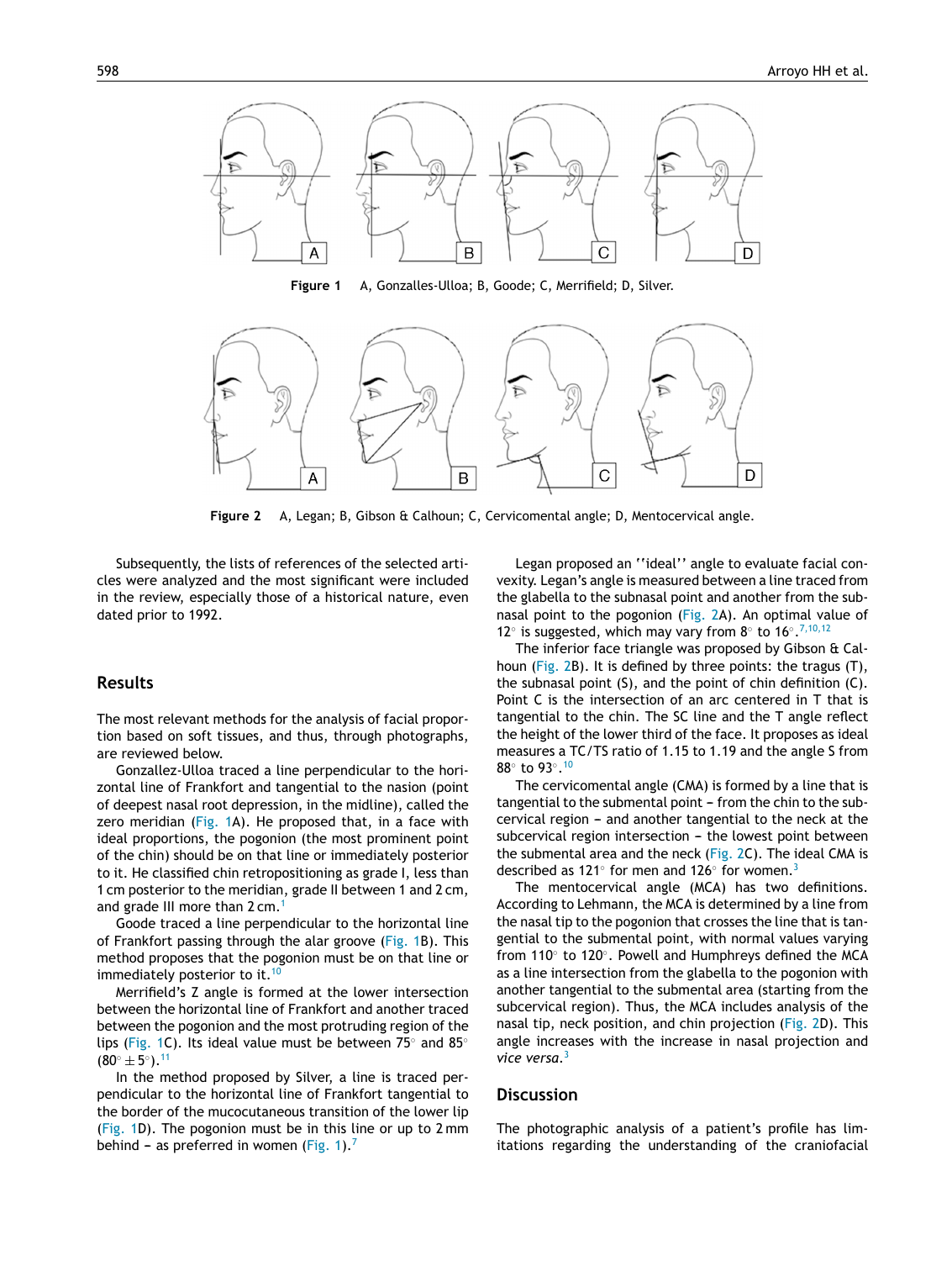

**Figure 1** A, Gonzalles-Ulloa; B, Goode; C, Merrifield; D, Silver.



**Figure 2** A, Legan; B, Gibson & Calhoun; C, Cervicomental angle; D, Mentocervical angle.

Subsequently, the lists of references of the selected articles were analyzed and the most significant were included in the review, especially those of a historical nature, even dated prior to 1992.

### **Results**

The most relevant methods for the analysis of facial proportion based on soft tissues, and thus, through photographs, are reviewed below.

Gonzallez-Ulloa traced a line perpendicular to the horizontal line of Frankfort and tangential to the nasion (point of deepest nasal root depression, in the midline), called the zero meridian (Fig. 1A). He proposed that, in a face with ideal proportions, the pogonion (the most prominent point of the chin) should be on that line or immediately posterior to it. He classified chin retropositioning as grade I, less than 1 cm posterior to the meridian, grade II between 1 and 2 cm, and grade III more than 2 cm.<sup>[1](#page-5-0)</sup>

Goode traced a line perpendicular to the horizontal line of Frankfort passing through the alar groove (Fig. 1B). This method proposes that the pogonion must be on that line or immediately posterior to it.  $10$ 

Merrifield's Z angle is formed at the lower intersection between the horizontal line of Frankfort and another traced between the pogonion and the most protruding region of the lips (Fig. 1C). Its ideal value must be between 75◦ and 85◦  $(80° \pm 5°).$ <sup>[11](#page-5-0)</sup>

In the method proposed by Silver, a line is traced perpendicular to the horizontal line of Frankfort tangential to the border of the mucocutaneous transition of the lower lip (Fig. 1D). The pogonion must be in this line or up to 2 mm behind – as preferred in women (Fig. 1).<sup>[7](#page-5-0)</sup>

Legan proposed an ''ideal'' angle to evaluate facial convexity. Legan's angle is measured between a line traced from the glabella to the subnasal point and another from the subnasal point to the pogonion (Fig. 2A). An optimal value of 12◦ is suggested, which may vary from 8◦ to 16◦.[7,10,12](#page-5-0)

The inferior face triangle was proposed by Gibson & Calhoun (Fig. 2B). It is defined by three points: the tragus (T), the subnasal point (S), and the point of chin definition (C). Point C is the intersection of an arc centered in T that is tangential to the chin. The SC line and the T angle reflect the height of the lower third of the face. It proposes as ideal measures a TC/TS ratio of 1.15 to 1.19 and the angle S from 88◦ to 93◦.[10](#page-5-0)

The cervicomental angle (CMA) is formed by a line that is tangential to the submental point - from the chin to the subcervical region – and another tangential to the neck at the subcervical region intersection - the lowest point between the submental area and the neck (Fig. 2C). The ideal CMA is described as 121° for men and 126° for women.<sup>[3](#page-5-0)</sup>

The mentocervical angle (MCA) has two definitions. According to Lehmann, the MCA is determined by a line from the nasal tip to the pogonion that crosses the line that is tangential to the submental point, with normal values varying from 110◦ to 120◦. Powell and Humphreys defined the MCA as a line intersection from the glabella to the pogonion with another tangential to the submental area (starting from the subcervical region). Thus, the MCA includes analysis of the nasal tip, neck position, and chin projection (Fig. 2D). This angle increases with the increase in nasal projection and *vice versa*[.3](#page-5-0)

#### **Discussion**

The photographic analysis of a patient's profile has limitations regarding the understanding of the craniofacial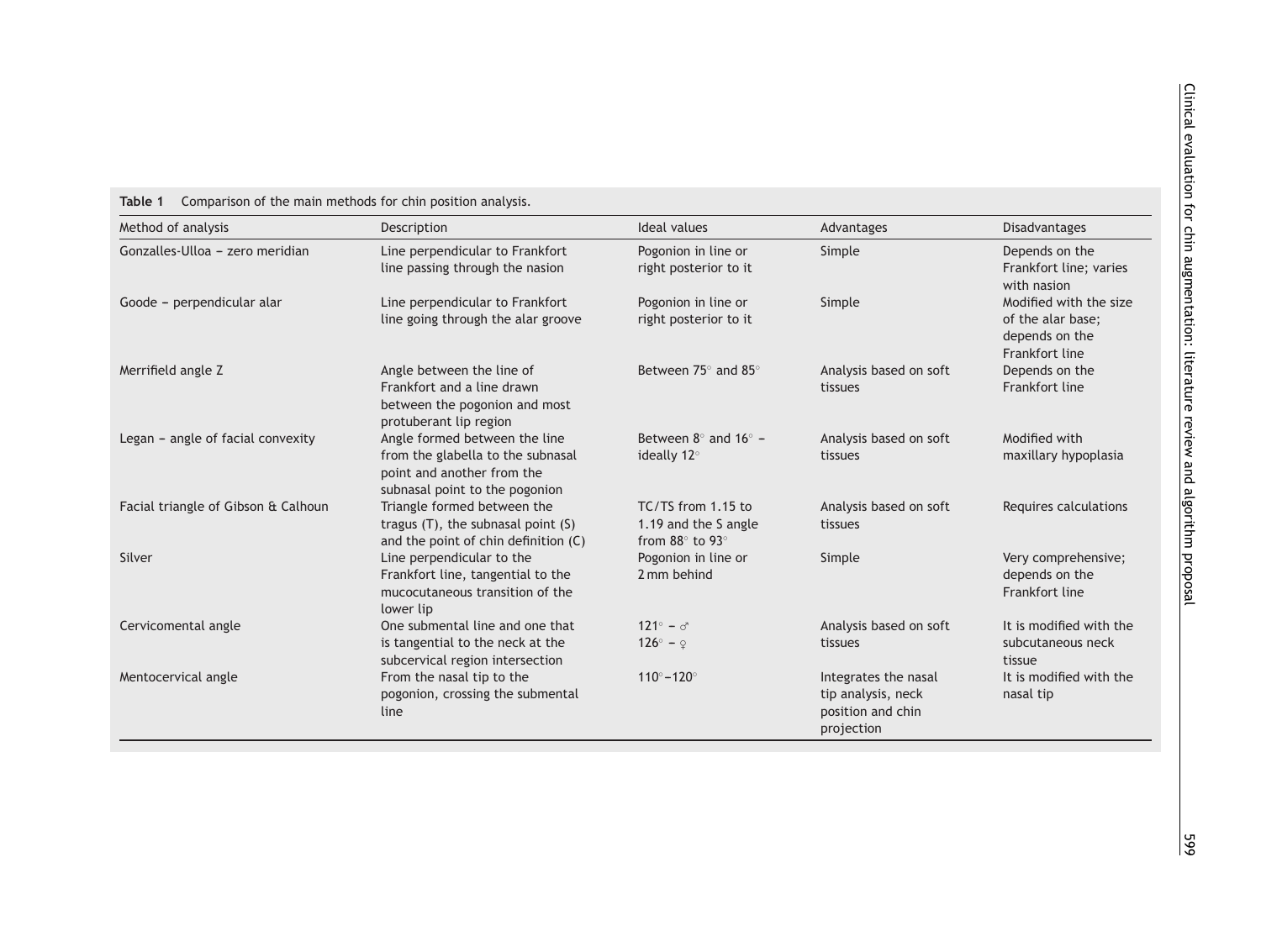| Table 1 | Comparison of the main methods for chin position analysis. |  |  |
|---------|------------------------------------------------------------|--|--|
|         |                                                            |  |  |

<span id="page-3-0"></span>

| Method of analysis                  | Description                                                                                                                        | <b>Ideal values</b>                                                         | Advantages                                                                    | Disadvantages                                                                   |
|-------------------------------------|------------------------------------------------------------------------------------------------------------------------------------|-----------------------------------------------------------------------------|-------------------------------------------------------------------------------|---------------------------------------------------------------------------------|
| Gonzalles-Ulloa - zero meridian     | Line perpendicular to Frankfort<br>line passing through the nasion                                                                 | Pogonion in line or<br>right posterior to it                                | Simple                                                                        | Depends on the<br>Frankfort line; varies<br>with nasion                         |
| Goode - perpendicular alar          | Line perpendicular to Frankfort<br>line going through the alar groove                                                              | Pogonion in line or<br>right posterior to it                                | Simple                                                                        | Modified with the size<br>of the alar base;<br>depends on the<br>Frankfort line |
| Merrifield angle Z                  | Angle between the line of<br>Frankfort and a line drawn<br>between the pogonion and most<br>protuberant lip region                 | Between 75° and 85°                                                         | Analysis based on soft<br>tissues                                             | Depends on the<br>Frankfort line                                                |
| Legan - angle of facial convexity   | Angle formed between the line<br>from the glabella to the subnasal<br>point and another from the<br>subnasal point to the pogonion | Between $8^\circ$ and $16^\circ$ -<br>ideally 12°                           | Analysis based on soft<br>tissues                                             | Modified with<br>maxillary hypoplasia                                           |
| Facial triangle of Gibson & Calhoun | Triangle formed between the<br>tragus (T), the subnasal point (S)<br>and the point of chin definition (C)                          | TC/TS from 1.15 to<br>1.19 and the S angle<br>from $88^\circ$ to $93^\circ$ | Analysis based on soft<br>tissues                                             | Requires calculations                                                           |
| Silver                              | Line perpendicular to the<br>Frankfort line, tangential to the<br>mucocutaneous transition of the<br>lower lip                     | Pogonion in line or<br>2 mm behind                                          | Simple                                                                        | Very comprehensive;<br>depends on the<br>Frankfort line                         |
| Cervicomental angle                 | One submental line and one that<br>is tangential to the neck at the<br>subcervical region intersection                             | $121^\circ - \sigma$<br>$126^\circ - 9$                                     | Analysis based on soft<br>tissues                                             | It is modified with the<br>subcutaneous neck<br>tissue                          |
| Mentocervical angle                 | From the nasal tip to the<br>pogonion, crossing the submental<br>line                                                              | $110^{\circ} - 120^{\circ}$                                                 | Integrates the nasal<br>tip analysis, neck<br>position and chin<br>projection | It is modified with the<br>nasal tip                                            |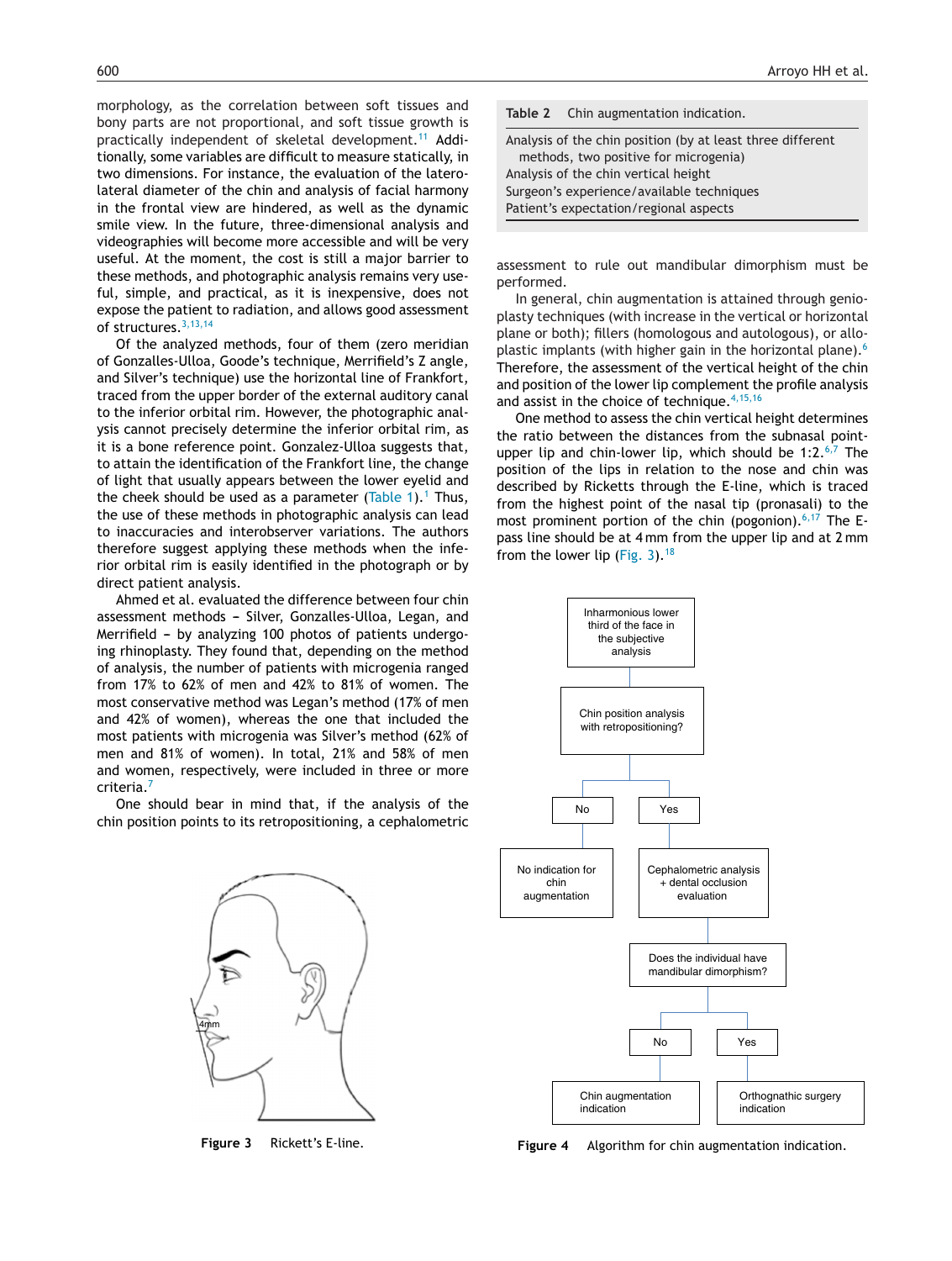<span id="page-4-0"></span>morphology, as the correlation between soft tissues and bony parts are not proportional, and soft tissue growth is practically independent of skeletal development.<sup>[11](#page-5-0)</sup> Additionally, some variables are difficult to measure statically, in two dimensions. For instance, the evaluation of the laterolateral diameter of the chin and analysis of facial harmony in the frontal view are hindered, as well as the dynamic smile view. In the future, three-dimensional analysis and videographies will become more accessible and will be very useful. At the moment, the cost is still a major barrier to these methods, and photographic analysis remains very useful, simple, and practical, as it is inexpensive, does not expose the patient to radiation, and allows good assessment of structures.<sup>[3,13,14](#page-5-0)</sup>

Of the analyzed methods, four of them (zero meridian of Gonzalles-Ulloa, Goode's technique, Merrifield's Z angle, and Silver's technique) use the horizontal line of Frankfort, traced from the upper border of the external auditory canal to the inferior orbital rim. However, the photographic analysis cannot precisely determine the inferior orbital rim, as it is a bone reference point. Gonzalez-Ulloa suggests that, to attain the identification of the Frankfort line, the change of light that usually appears between the lower eyelid and the cheek should be used as a parameter ([Table](#page-3-0) [1](#page-5-0)).<sup>1</sup> Thus, the use of these methods in photographic analysis can lead to inaccuracies and interobserver variations. The authors therefore suggest applying these methods when the inferior orbital rim is easily identified in the photograph or by direct patient analysis.

Ahmed et al. evaluated the difference between four chin assessment methods - Silver, Gonzalles-Ulloa, Legan, and Merrifield - by analyzing 100 photos of patients undergoing rhinoplasty. They found that, depending on the method of analysis, the number of patients with microgenia ranged from 17% to 62% of men and 42% to 81% of women. The most conservative method was Legan's method (17% of men and 42% of women), whereas the one that included the most patients with microgenia was Silver's method (62% of men and 81% of women). In total, 21% and 58% of men and women, respectively, were included in three or more criteria.[7](#page-5-0)

One should bear in mind that, if the analysis of the chin position points to its retropositioning, a cephalometric



**Figure 3** Rickett's E-line.



Analysis of the chin vertical height

Surgeon's experience/available techniques

Patient's expectation/regional aspects

assessment to rule out mandibular dimorphism must be performed.

In general, chin augmentation is attained through genioplasty techniques (with increase in the vertical or horizontal plane or both); fillers (homologous and autologous), or allo-plastic implants (with higher gain in the horizontal plane).<sup>[6](#page-5-0)</sup> Therefore, the assessment of the vertical height of the chin and position of the lower lip complement the profile analysis and assist in the choice of technique.  $4,15,16$ 

One method to assess the chin vertical height determines the ratio between the distances from the subnasal pointupper lip and chin-lower lip, which should be 1:2. $6,7$  The position of the lips in relation to the nose and chin was described by Ricketts through the E-line, which is traced from the highest point of the nasal tip (pronasali) to the most prominent portion of the chin (pogonion).<sup>[6,17](#page-5-0)</sup> The Epass line should be at 4 mm from the upper lip and at 2 mm from the lower lip (Fig. 3).<sup>[18](#page-5-0)</sup>



**Figure 4** Algorithm for chin augmentation indication.